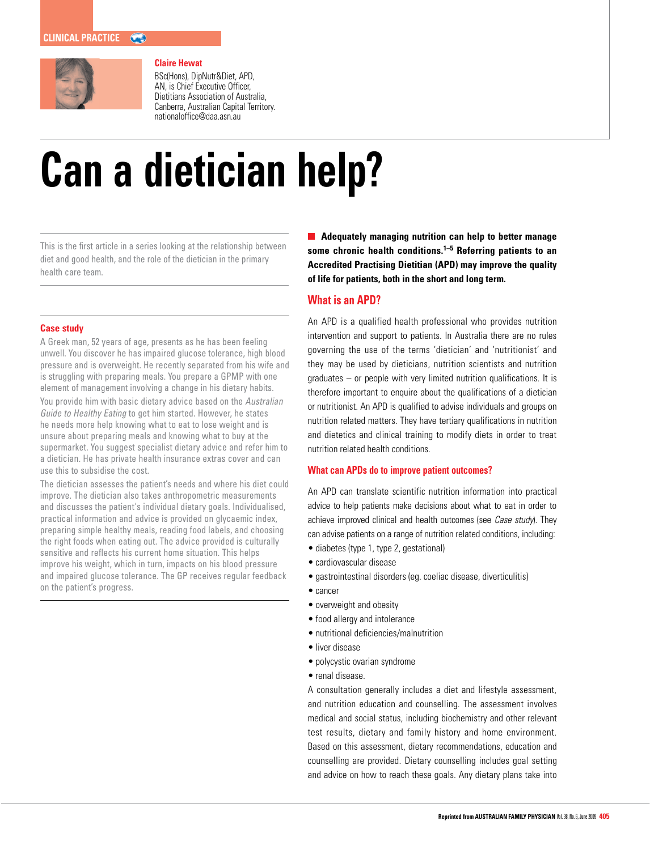

# **Claire Hewat**

BSc(Hons), DipNutr&Diet, APD, AN, is Chief Executive Officer, Dietitians Association of Australia, Canberra, Australian Capital Territory. nationaloffice@daa.asn.au

# **Can a dietician help?**

This is the first article in a series looking at the relationship between diet and good health, and the role of the dietician in the primary health care team.

### **Case study**

A Greek man, 52 years of age, presents as he has been feeling unwell. You discover he has impaired glucose tolerance, high blood pressure and is overweight. He recently separated from his wife and is struggling with preparing meals. You prepare a GPMP with one element of management involving a change in his dietary habits.

You provide him with basic dietary advice based on the Australian Guide to Healthy Eating to get him started. However, he states he needs more help knowing what to eat to lose weight and is unsure about preparing meals and knowing what to buy at the supermarket. You suggest specialist dietary advice and refer him to a dietician. He has private health insurance extras cover and can use this to subsidise the cost.

The dietician assesses the patient's needs and where his diet could improve. The dietician also takes anthropometric measurements and discusses the patient's individual dietary goals. Individualised, practical information and advice is provided on glycaemic index, preparing simple healthy meals, reading food labels, and choosing the right foods when eating out. The advice provided is culturally sensitive and reflects his current home situation. This helps improve his weight, which in turn, impacts on his blood pressure and impaired glucose tolerance. The GP receives regular feedback on the patient's progress.

**Adequately managing nutrition can help to better manage some chronic health conditions.1–5 Referring patients to an Accredited Practising Dietitian (APD) may improve the quality of life for patients, both in the short and long term.** 

# **What is an APD?**

An APD is a qualified health professional who provides nutrition intervention and support to patients. In Australia there are no rules governing the use of the terms 'dietician' and 'nutritionist' and they may be used by dieticians, nutrition scientists and nutrition graduates – or people with very limited nutrition qualifications. It is therefore important to enquire about the qualifications of a dietician or nutritionist. An APD is qualified to advise individuals and groups on nutrition related matters. They have tertiary qualifications in nutrition and dietetics and clinical training to modify diets in order to treat nutrition related health conditions.

#### **What can APDs do to improve patient outcomes?**

An APD can translate scientific nutrition information into practical advice to help patients make decisions about what to eat in order to achieve improved clinical and health outcomes (see Case study). They can advise patients on a range of nutrition related conditions, including:

- diabetes (type 1, type 2, gestational)
- • cardiovascular disease
- gastrointestinal disorders (eg. coeliac disease, diverticulitis)
- • cancer
- overweight and obesity
- food allergy and intolerance
- • nutritional deficiencies/malnutrition
- liver disease
- polycystic ovarian syndrome
- renal disease.

A consultation generally includes a diet and lifestyle assessment, and nutrition education and counselling. The assessment involves medical and social status, including biochemistry and other relevant test results, dietary and family history and home environment. Based on this assessment, dietary recommendations, education and counselling are provided. Dietary counselling includes goal setting and advice on how to reach these goals. Any dietary plans take into